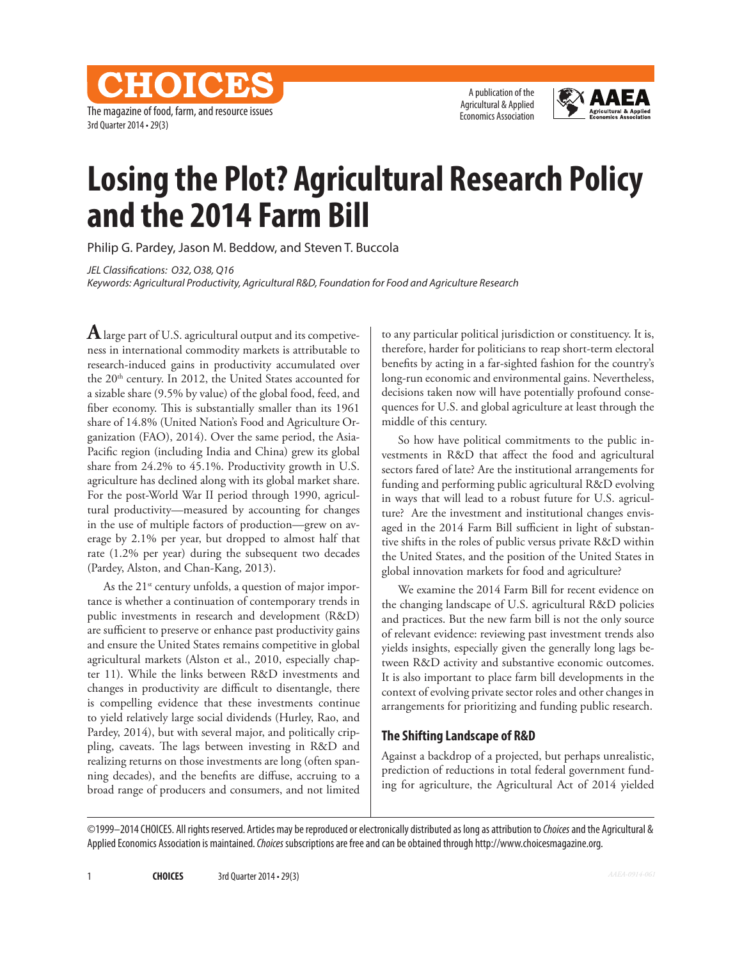The magazine of food, farm, and resource issues 3rd Quarter 2014 • 29(3)

CHOICES

A publication of the Agricultural & Applied Economics Association



# **Losing the Plot? Agricultural Research Policy and the 2014 Farm Bill**

Philip G. Pardey, Jason M. Beddow, and Steven T. Buccola

*JEL Classifications: O32, O38, Q16*

*Keywords: Agricultural Productivity, Agricultural R&D, Foundation for Food and Agriculture Research*

**A** large part of U.S. agricultural output and its competiveness in international commodity markets is attributable to research-induced gains in productivity accumulated over the 20<sup>th</sup> century. In 2012, the United States accounted for a sizable share (9.5% by value) of the global food, feed, and fiber economy. This is substantially smaller than its 1961 share of 14.8% (United Nation's Food and Agriculture Organization (FAO), 2014). Over the same period, the Asia-Pacific region (including India and China) grew its global share from 24.2% to 45.1%. Productivity growth in U.S. agriculture has declined along with its global market share. For the post-World War II period through 1990, agricultural productivity—measured by accounting for changes in the use of multiple factors of production—grew on average by 2.1% per year, but dropped to almost half that rate (1.2% per year) during the subsequent two decades (Pardey, Alston, and Chan-Kang, 2013).

As the  $21^{st}$  century unfolds, a question of major importance is whether a continuation of contemporary trends in public investments in research and development (R&D) are sufficient to preserve or enhance past productivity gains and ensure the United States remains competitive in global agricultural markets (Alston et al., 2010, especially chapter 11). While the links between R&D investments and changes in productivity are difficult to disentangle, there is compelling evidence that these investments continue to yield relatively large social dividends (Hurley, Rao, and Pardey, 2014), but with several major, and politically crippling, caveats. The lags between investing in R&D and realizing returns on those investments are long (often spanning decades), and the benefits are diffuse, accruing to a broad range of producers and consumers, and not limited

to any particular political jurisdiction or constituency. It is, therefore, harder for politicians to reap short-term electoral benefits by acting in a far-sighted fashion for the country's long-run economic and environmental gains. Nevertheless, decisions taken now will have potentially profound consequences for U.S. and global agriculture at least through the middle of this century.

So how have political commitments to the public investments in R&D that affect the food and agricultural sectors fared of late? Are the institutional arrangements for funding and performing public agricultural R&D evolving in ways that will lead to a robust future for U.S. agriculture? Are the investment and institutional changes envisaged in the 2014 Farm Bill sufficient in light of substantive shifts in the roles of public versus private R&D within the United States, and the position of the United States in global innovation markets for food and agriculture?

We examine the 2014 Farm Bill for recent evidence on the changing landscape of U.S. agricultural R&D policies and practices. But the new farm bill is not the only source of relevant evidence: reviewing past investment trends also yields insights, especially given the generally long lags between R&D activity and substantive economic outcomes. It is also important to place farm bill developments in the context of evolving private sector roles and other changes in arrangements for prioritizing and funding public research.

# **The Shifting Landscape of R&D**

Against a backdrop of a projected, but perhaps unrealistic, prediction of reductions in total federal government funding for agriculture, the Agricultural Act of 2014 yielded

©1999–2014 CHOICES. All rights reserved. Articles may be reproduced or electronically distributed as long as attribution to *Choices* and the Agricultural & Applied Economics Association is maintained. *Choices* subscriptions are free and can be obtained through http://www.choicesmagazine.org.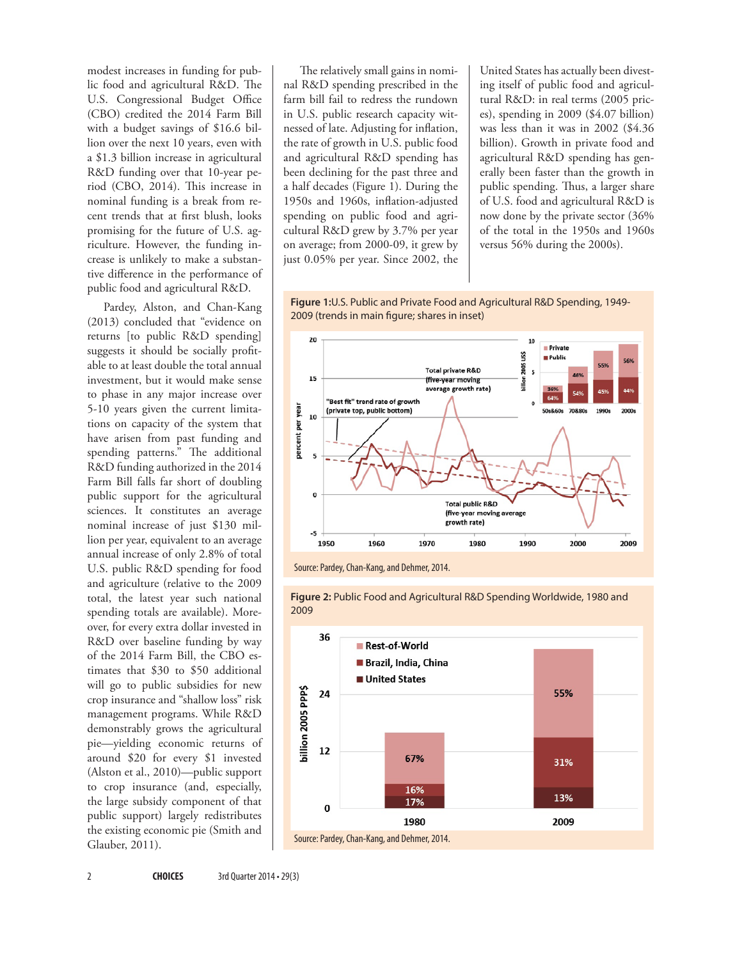modest increases in funding for public food and agricultural R&D. The U.S. Congressional Budget Office (CBO) credited the 2014 Farm Bill with a budget savings of \$16.6 billion over the next 10 years, even with a \$1.3 billion increase in agricultural R&D funding over that 10-year period (CBO, 2014). This increase in nominal funding is a break from recent trends that at first blush, looks promising for the future of U.S. agriculture. However, the funding increase is unlikely to make a substantive difference in the performance of public food and agricultural R&D.

Pardey, Alston, and Chan-Kang (2013) concluded that "evidence on returns [to public R&D spending] suggests it should be socially profitable to at least double the total annual investment, but it would make sense to phase in any major increase over 5-10 years given the current limitations on capacity of the system that have arisen from past funding and spending patterns." The additional R&D funding authorized in the 2014 Farm Bill falls far short of doubling public support for the agricultural sciences. It constitutes an average nominal increase of just \$130 million per year, equivalent to an average annual increase of only 2.8% of total U.S. public R&D spending for food and agriculture (relative to the 2009 total, the latest year such national spending totals are available). Moreover, for every extra dollar invested in R&D over baseline funding by way of the 2014 Farm Bill, the CBO estimates that \$30 to \$50 additional will go to public subsidies for new crop insurance and "shallow loss" risk management programs. While R&D demonstrably grows the agricultural pie—yielding economic returns of around \$20 for every \$1 invested (Alston et al., 2010)—public support to crop insurance (and, especially, the large subsidy component of that public support) largely redistributes the existing economic pie (Smith and Glauber, 2011).

The relatively small gains in nominal R&D spending prescribed in the farm bill fail to redress the rundown in U.S. public research capacity witnessed of late. Adjusting for inflation, the rate of growth in U.S. public food and agricultural R&D spending has been declining for the past three and a half decades (Figure 1). During the 1950s and 1960s, inflation-adjusted spending on public food and agricultural R&D grew by 3.7% per year on average; from 2000-09, it grew by just 0.05% per year. Since 2002, the United States has actually been divesting itself of public food and agricultural R&D: in real terms (2005 prices), spending in 2009 (\$4.07 billion) was less than it was in 2002 (\$4.36 billion). Growth in private food and agricultural R&D spending has generally been faster than the growth in public spending. Thus, a larger share of U.S. food and agricultural R&D is now done by the private sector (36% of the total in the 1950s and 1960s versus 56% during the 2000s).

**Figure 1:**U.S. Public and Private Food and Agricultural R&D Spending, 1949- 2009 (trends in main figure; shares in inset)



**Figure 2:** Public Food and Agricultural R&D Spending Worldwide, 1980 and

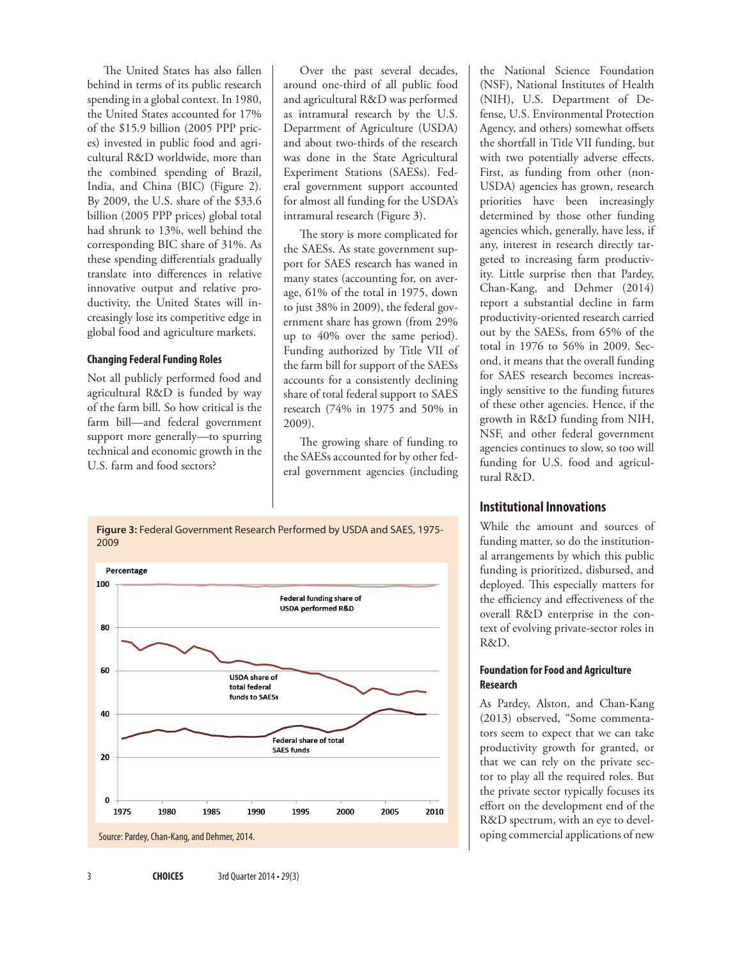The United States has also fallen behind in terms of its public research spending in a global context. In 1980, the United States accounted for 17% of the \$15.9 billion (2005 PPP prices) invested in public food and agricultural R&D worldwide, more than the combined spending of Brazil, India, and China (BIC) (Figure 2). By 2009, the U.S. share of the \$33.6 billion (2005 PPP prices) global total had shrunk to 13%, well behind the corresponding BIC share of 31%. As these spending differentials gradually translate into differences in relative innovative output and relative productivity, the United States will increasingly lose its competitive edge in global food and agriculture markets.

#### **Changing Federal Funding Roles**

Not all publicly performed food and agricultural R&D is funded by way of the farm bill. So how critical is the farm bill—and federal government support more generally—to spurring technical and economic growth in the U.S. farm and food sectors?

Over the past several decades, around one-third of all public food and agricultural R&D was performed as intramural research by the U.S. Department of Agriculture (USDA) and about two-thirds of the research was done in the State Agricultural Experiment Stations (SAESs). Federal government support accounted for almost all funding for the USDA's intramural research (Figure 3).

The story is more complicated for the SAESs. As state government support for SAES research has waned in many states (accounting for, on average, 61% of the total in 1975, down to just 38% in 2009), the federal government share has grown (from 29% up to 40% over the same period). Funding authorized by Title VII of the farm bill for support of the SAESs accounts for a consistently declining share of total federal support to SAES research (74% in 1975 and 50% in 2009).

The growing share of funding to the SAESs accounted for by other federal government agencies (including

**Figure 3:** Federal Government Research Performed by USDA and SAES, 1975- 2009



the National Science Foundation (NSF), National Institutes of Health (NIH), U.S. Department of Defense, U.S. Environmental Protection Agency, and others) somewhat offsets the shortfall in Title VII funding, but with two potentially adverse effects. First, as funding from other (non-USDA) agencies has grown, research priorities have been increasingly determined by those other funding agencies which, generally, have less, if any, interest in research directly targeted to increasing farm productivity. Little surprise then that Pardey, Chan-Kang, and Dehmer (2014) report a substantial decline in farm productivity-oriented research carried out by the SAESs, from 65% of the total in 1976 to 56% in 2009. Second, it means that the overall funding for SAES research becomes increasingly sensitive to the funding futures of these other agencies. Hence, if the growth in R&D funding from NIH, NSF, and other federal government agencies continues to slow, so too will funding for U.S. food and agricultural R&D.

# **Institutional Innovations**

While the amount and sources of funding matter, so do the institutional arrangements by which this public funding is prioritized, disbursed, and deployed. This especially matters for the efficiency and effectiveness of the overall R&D enterprise in the context of evolving private-sector roles in R&D.

#### **Foundation for Food and Agriculture Research**

As Pardey, Alston, and Chan-Kang (2013) observed, "Some commentators seem to expect that we can take productivity growth for granted, or that we can rely on the private sector to play all the required roles. But the private sector typically focuses its effort on the development end of the R&D spectrum, with an eye to developing commercial applications of new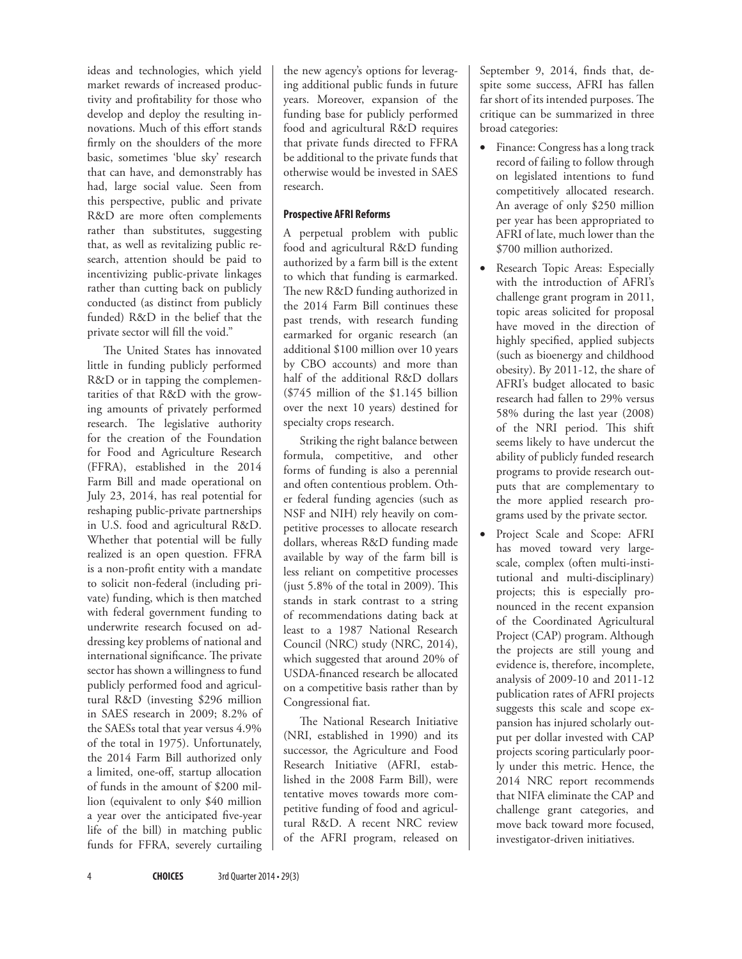ideas and technologies, which yield market rewards of increased productivity and profitability for those who develop and deploy the resulting innovations. Much of this effort stands firmly on the shoulders of the more basic, sometimes 'blue sky' research that can have, and demonstrably has had, large social value. Seen from this perspective, public and private R&D are more often complements rather than substitutes, suggesting that, as well as revitalizing public research, attention should be paid to incentivizing public-private linkages rather than cutting back on publicly conducted (as distinct from publicly funded) R&D in the belief that the private sector will fill the void."

The United States has innovated little in funding publicly performed R&D or in tapping the complementarities of that R&D with the growing amounts of privately performed research. The legislative authority for the creation of the Foundation for Food and Agriculture Research (FFRA), established in the 2014 Farm Bill and made operational on July 23, 2014, has real potential for reshaping public-private partnerships in U.S. food and agricultural R&D. Whether that potential will be fully realized is an open question. FFRA is a non-profit entity with a mandate to solicit non-federal (including private) funding, which is then matched with federal government funding to underwrite research focused on addressing key problems of national and international significance. The private sector has shown a willingness to fund publicly performed food and agricultural R&D (investing \$296 million in SAES research in 2009; 8.2% of the SAESs total that year versus 4.9% of the total in 1975). Unfortunately, the 2014 Farm Bill authorized only a limited, one-off, startup allocation of funds in the amount of \$200 million (equivalent to only \$40 million a year over the anticipated five-year life of the bill) in matching public funds for FFRA, severely curtailing

the new agency's options for leveraging additional public funds in future years. Moreover, expansion of the funding base for publicly performed food and agricultural R&D requires that private funds directed to FFRA be additional to the private funds that otherwise would be invested in SAES research.

### **Prospective AFRI Reforms**

A perpetual problem with public food and agricultural R&D funding authorized by a farm bill is the extent to which that funding is earmarked. The new R&D funding authorized in the 2014 Farm Bill continues these past trends, with research funding earmarked for organic research (an additional \$100 million over 10 years by CBO accounts) and more than half of the additional R&D dollars (\$745 million of the \$1.145 billion over the next 10 years) destined for specialty crops research.

Striking the right balance between formula, competitive, and other forms of funding is also a perennial and often contentious problem. Other federal funding agencies (such as NSF and NIH) rely heavily on competitive processes to allocate research dollars, whereas R&D funding made available by way of the farm bill is less reliant on competitive processes (just 5.8% of the total in 2009). This stands in stark contrast to a string of recommendations dating back at least to a 1987 National Research Council (NRC) study (NRC, 2014), which suggested that around 20% of USDA-financed research be allocated on a competitive basis rather than by Congressional fiat.

The National Research Initiative (NRI, established in 1990) and its successor, the Agriculture and Food Research Initiative (AFRI, established in the 2008 Farm Bill), were tentative moves towards more competitive funding of food and agricultural R&D. A recent NRC review of the AFRI program, released on

September 9, 2014, finds that, despite some success, AFRI has fallen far short of its intended purposes. The critique can be summarized in three broad categories:

- • Finance: Congress has a long track record of failing to follow through on legislated intentions to fund competitively allocated research. An average of only \$250 million per year has been appropriated to AFRI of late, much lower than the \$700 million authorized.
- Research Topic Areas: Especially with the introduction of AFRI's challenge grant program in 2011, topic areas solicited for proposal have moved in the direction of highly specified, applied subjects (such as bioenergy and childhood obesity). By 2011-12, the share of AFRI's budget allocated to basic research had fallen to 29% versus 58% during the last year (2008) of the NRI period. This shift seems likely to have undercut the ability of publicly funded research programs to provide research outputs that are complementary to the more applied research programs used by the private sector.
- Project Scale and Scope: AFRI has moved toward very largescale, complex (often multi-institutional and multi-disciplinary) projects; this is especially pronounced in the recent expansion of the Coordinated Agricultural Project (CAP) program. Although the projects are still young and evidence is, therefore, incomplete, analysis of 2009-10 and 2011-12 publication rates of AFRI projects suggests this scale and scope expansion has injured scholarly output per dollar invested with CAP projects scoring particularly poorly under this metric. Hence, the 2014 NRC report recommends that NIFA eliminate the CAP and challenge grant categories, and move back toward more focused, investigator-driven initiatives.